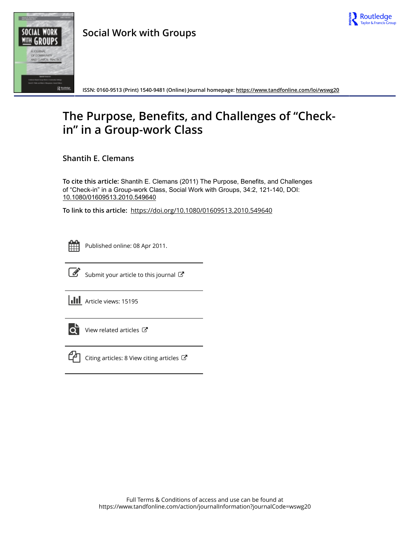



**ISSN: 0160-9513 (Print) 1540-9481 (Online) Journal homepage:<https://www.tandfonline.com/loi/wswg20>**

# **The Purpose, Benefits, and Challenges of "Checkin" in a Group-work Class**

**Shantih E. Clemans**

**To cite this article:** Shantih E. Clemans (2011) The Purpose, Benefits, and Challenges of "Check-in" in a Group-work Class, Social Work with Groups, 34:2, 121-140, DOI: [10.1080/01609513.2010.549640](https://www.tandfonline.com/action/showCitFormats?doi=10.1080/01609513.2010.549640)

**To link to this article:** <https://doi.org/10.1080/01609513.2010.549640>



Published online: 08 Apr 2011.



 $\overrightarrow{S}$  [Submit your article to this journal](https://www.tandfonline.com/action/authorSubmission?journalCode=wswg20&show=instructions)  $\overrightarrow{S}$ 

**III** Article views: 15195



 $\overrightarrow{O}$  [View related articles](https://www.tandfonline.com/doi/mlt/10.1080/01609513.2010.549640)  $\overrightarrow{C}$ 



 $\mathbb{C}$  [Citing articles: 8 View citing articles](https://www.tandfonline.com/doi/citedby/10.1080/01609513.2010.549640#tabModule)  $\mathbb{C}$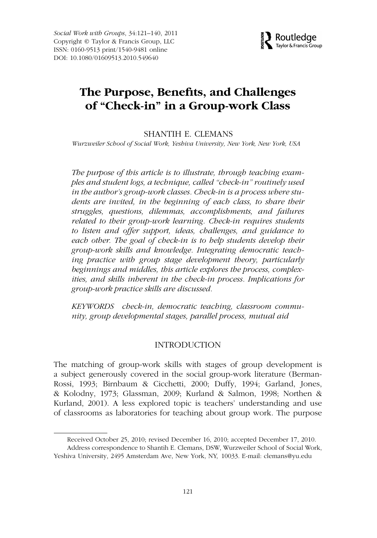*Social Work with Groups*, 34:121–140, 2011 Copyright © Taylor & Francis Group, LLC ISSN: 0160-9513 print/1540-9481 online DOI: 10.1080/01609513.2010.549640



# **The Purpose, Benefits, and Challenges of "Check-in" in a Group-work Class**

#### SHANTIH E. CLEMANS

*Wurzweiler School of Social Work, Yeshiva University, New York, New York, USA*

*The purpose of this article is to illustrate, through teaching examples and student logs, a technique, called "check-in" routinely used in the author's group-work classes. Check-in is a process where students are invited, in the beginning of each class, to share their struggles, questions, dilemmas, accomplishments, and failures related to their group-work learning. Check-in requires students to listen and offer support, ideas, challenges, and guidance to each other. The goal of check-in is to help students develop their group-work skills and knowledge. Integrating democratic teaching practice with group stage development theory, particularly beginnings and middles, this article explores the process, complexities, and skills inherent in the check-in process. Implications for group-work practice skills are discussed.*

*KEYWORDS check-in, democratic teaching, classroom community, group developmental stages, parallel process, mutual aid*

#### INTRODUCTION

The matching of group-work skills with stages of group development is a subject generously covered in the social group-work literature (Berman-Rossi, 1993; Birnbaum & Cicchetti, 2000; Duffy, 1994; Garland, Jones, & Kolodny, 1973; Glassman, 2009; Kurland & Salmon, 1998; Northen & Kurland, 2001). A less explored topic is teachers' understanding and use of classrooms as laboratories for teaching about group work. The purpose

Received October 25, 2010; revised December 16, 2010; accepted December 17, 2010.

Address correspondence to Shantih E. Clemans, DSW, Wurzweiler School of Social Work, Yeshiva University, 2495 Amsterdam Ave, New York, NY, 10033. E-mail: clemans@yu.edu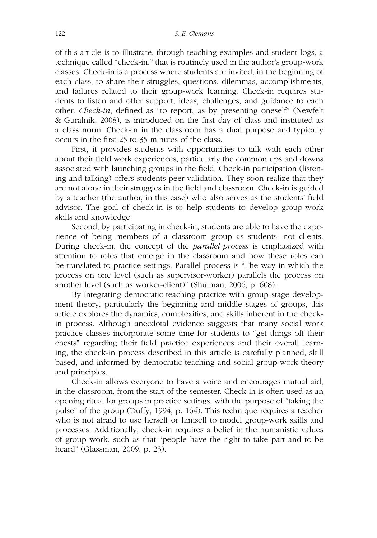of this article is to illustrate, through teaching examples and student logs, a technique called "check-in," that is routinely used in the author's group-work classes. Check-in is a process where students are invited, in the beginning of each class, to share their struggles, questions, dilemmas, accomplishments, and failures related to their group-work learning. Check-in requires students to listen and offer support, ideas, challenges, and guidance to each other. *Check-in*, defined as "to report, as by presenting oneself" (Newfelt & Guralnik, 2008), is introduced on the first day of class and instituted as a class norm. Check-in in the classroom has a dual purpose and typically occurs in the first 25 to 35 minutes of the class.

First, it provides students with opportunities to talk with each other about their field work experiences, particularly the common ups and downs associated with launching groups in the field. Check-in participation (listening and talking) offers students peer validation. They soon realize that they are not alone in their struggles in the field and classroom. Check-in is guided by a teacher (the author, in this case) who also serves as the students' field advisor. The goal of check-in is to help students to develop group-work skills and knowledge.

Second, by participating in check-in, students are able to have the experience of being members of a classroom group as students, not clients. During check-in, the concept of the *parallel process* is emphasized with attention to roles that emerge in the classroom and how these roles can be translated to practice settings. Parallel process is "The way in which the process on one level (such as supervisor-worker) parallels the process on another level (such as worker-client)" (Shulman, 2006, p. 608).

By integrating democratic teaching practice with group stage development theory, particularly the beginning and middle stages of groups, this article explores the dynamics, complexities, and skills inherent in the checkin process. Although anecdotal evidence suggests that many social work practice classes incorporate some time for students to "get things off their chests" regarding their field practice experiences and their overall learning, the check-in process described in this article is carefully planned, skill based, and informed by democratic teaching and social group-work theory and principles.

Check-in allows everyone to have a voice and encourages mutual aid, in the classroom, from the start of the semester. Check-in is often used as an opening ritual for groups in practice settings, with the purpose of "taking the pulse" of the group (Duffy, 1994, p. 164). This technique requires a teacher who is not afraid to use herself or himself to model group-work skills and processes. Additionally, check-in requires a belief in the humanistic values of group work, such as that "people have the right to take part and to be heard" (Glassman, 2009, p. 23).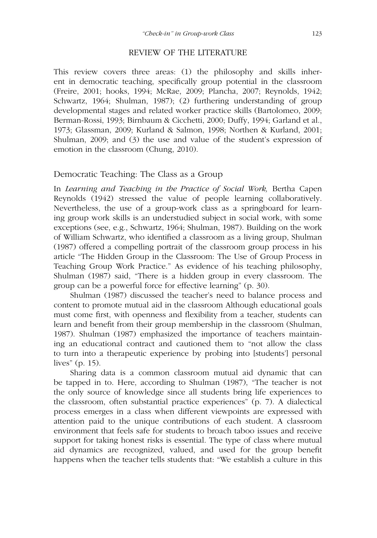#### REVIEW OF THE LITERATURE

This review covers three areas: (1) the philosophy and skills inherent in democratic teaching, specifically group potential in the classroom (Freire, 2001; hooks, 1994; McRae, 2009; Plancha, 2007; Reynolds, 1942; Schwartz, 1964; Shulman, 1987); (2) furthering understanding of group developmental stages and related worker practice skills (Bartolomeo, 2009; Berman-Rossi, 1993; Birnbaum & Cicchetti, 2000; Duffy, 1994; Garland et al., 1973; Glassman, 2009; Kurland & Salmon, 1998; Northen & Kurland, 2001; Shulman, 2009; and (3) the use and value of the student's expression of emotion in the classroom (Chung, 2010).

#### Democratic Teaching: The Class as a Group

In *Learning and Teaching in the Practice of Social Work,* Bertha Capen Reynolds (1942) stressed the value of people learning collaboratively. Nevertheless, the use of a group-work class as a springboard for learning group work skills is an understudied subject in social work, with some exceptions (see, e.g., Schwartz, 1964; Shulman, 1987). Building on the work of William Schwartz, who identified a classroom as a living group, Shulman (1987) offered a compelling portrait of the classroom group process in his article "The Hidden Group in the Classroom: The Use of Group Process in Teaching Group Work Practice." As evidence of his teaching philosophy, Shulman (1987) said, "There is a hidden group in every classroom. The group can be a powerful force for effective learning" (p. 30).

Shulman (1987) discussed the teacher's need to balance process and content to promote mutual aid in the classroom Although educational goals must come first, with openness and flexibility from a teacher, students can learn and benefit from their group membership in the classroom (Shulman, 1987). Shulman (1987) emphasized the importance of teachers maintaining an educational contract and cautioned them to "not allow the class to turn into a therapeutic experience by probing into [students'] personal lives" (p. 15).

Sharing data is a common classroom mutual aid dynamic that can be tapped in to. Here, according to Shulman (1987), "The teacher is not the only source of knowledge since all students bring life experiences to the classroom, often substantial practice experiences" (p. 7). A dialectical process emerges in a class when different viewpoints are expressed with attention paid to the unique contributions of each student. A classroom environment that feels safe for students to broach taboo issues and receive support for taking honest risks is essential. The type of class where mutual aid dynamics are recognized, valued, and used for the group benefit happens when the teacher tells students that: "We establish a culture in this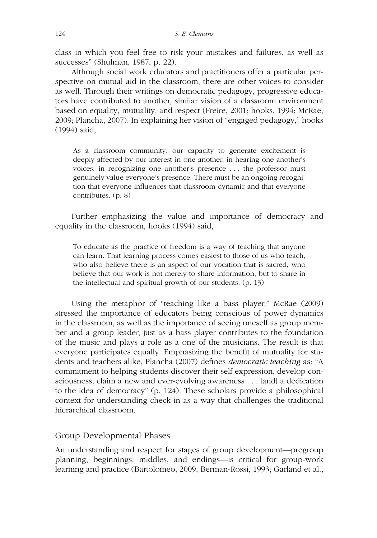class in which you feel free to risk your mistakes and failures, as well as successes" (Shulman, 1987, p. 22).

Although social work educators and practitioners offer a particular perspective on mutual aid in the classroom, there are other voices to consider as well. Through their writings on democratic pedagogy, progressive educators have contributed to another, similar vision of a classroom environment based on equality, mutuality, and respect (Freire, 2001; hooks, 1994; McRae, 2009; Plancha, 2007). In explaining her vision of "engaged pedagogy," hooks (1994) said,

As a classroom community, our capacity to generate excitement is deeply affected by our interest in one another, in hearing one another's voices, in recognizing one another's presence *...* the professor must genuinely value everyone's presence. There must be an ongoing recognition that everyone influences that classroom dynamic and that everyone contributes. (p. 8)

Further emphasizing the value and importance of democracy and equality in the classroom, hooks (1994) said,

To educate as the practice of freedom is a way of teaching that anyone can learn. That learning process comes easiest to those of us who teach, who also believe there is an aspect of our vocation that is sacred, who believe that our work is not merely to share information, but to share in the intellectual and spiritual growth of our students. (p. 13)

Using the metaphor of "teaching like a bass player," McRae (2009) stressed the importance of educators being conscious of power dynamics in the classroom, as well as the importance of seeing oneself as group member and a group leader, just as a bass player contributes to the foundation of the music and plays a role as a one of the musicians. The result is that everyone participates equally. Emphasizing the benefit of mutuality for students and teachers alike, Plancha (2007) defines *democratic teaching* as: "A commitment to helping students discover their self expression, develop consciousness, claim a new and ever-evolving awareness *...* [and] a dedication to the idea of democracy" (p. 124). These scholars provide a philosophical context for understanding check-in as a way that challenges the traditional hierarchical classroom.

# Group Developmental Phases

An understanding and respect for stages of group development—pregroup planning, beginnings, middles, and endings—is critical for group-work learning and practice (Bartolomeo, 2009; Berman-Rossi, 1993; Garland et al.,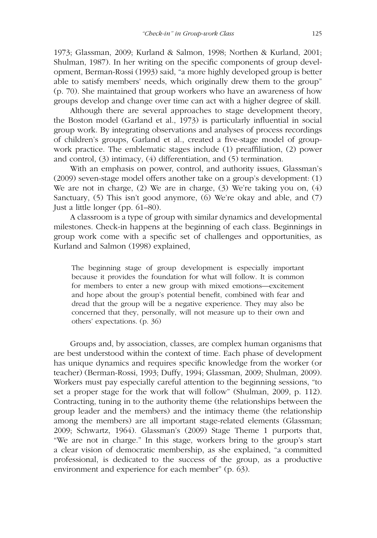1973; Glassman, 2009; Kurland & Salmon, 1998; Northen & Kurland, 2001; Shulman, 1987). In her writing on the specific components of group development, Berman-Rossi (1993) said, "a more highly developed group is better able to satisfy members' needs, which originally drew them to the group" (p. 70). She maintained that group workers who have an awareness of how groups develop and change over time can act with a higher degree of skill.

Although there are several approaches to stage development theory, the Boston model (Garland et al., 1973) is particularly influential in social group work. By integrating observations and analyses of process recordings of children's groups, Garland et al., created a five-stage model of groupwork practice. The emblematic stages include (1) preaffiliation, (2) power and control, (3) intimacy, (4) differentiation, and (5) termination.

With an emphasis on power, control, and authority issues, Glassman's (2009) seven-stage model offers another take on a group's development: (1) We are not in charge, (2) We are in charge, (3) We're taking you on, (4) Sanctuary, (5) This isn't good anymore, (6) We're okay and able, and (7) Just a little longer (pp. 61–80).

A classroom is a type of group with similar dynamics and developmental milestones. Check-in happens at the beginning of each class. Beginnings in group work come with a specific set of challenges and opportunities, as Kurland and Salmon (1998) explained,

The beginning stage of group development is especially important because it provides the foundation for what will follow. It is common for members to enter a new group with mixed emotions—excitement and hope about the group's potential benefit, combined with fear and dread that the group will be a negative experience. They may also be concerned that they, personally, will not measure up to their own and others' expectations. (p. 36)

Groups and, by association, classes, are complex human organisms that are best understood within the context of time. Each phase of development has unique dynamics and requires specific knowledge from the worker (or teacher) (Berman-Rossi, 1993; Duffy, 1994; Glassman, 2009; Shulman, 2009). Workers must pay especially careful attention to the beginning sessions, "to set a proper stage for the work that will follow" (Shulman, 2009, p. 112). Contracting, tuning in to the authority theme (the relationships between the group leader and the members) and the intimacy theme (the relationship among the members) are all important stage-related elements (Glassman; 2009; Schwartz, 1964). Glassman's (2009) Stage Theme 1 purports that, "We are not in charge." In this stage, workers bring to the group's start a clear vision of democratic membership, as she explained, "a committed professional, is dedicated to the success of the group, as a productive environment and experience for each member" (p. 63).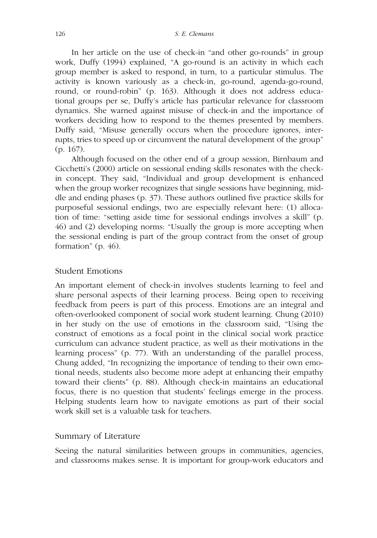In her article on the use of check-in "and other go-rounds" in group work, Duffy (1994) explained, "A go-round is an activity in which each group member is asked to respond, in turn, to a particular stimulus. The activity is known variously as a check-in, go-round, agenda-go-round, round, or round-robin" (p. 163). Although it does not address educational groups per se, Duffy's article has particular relevance for classroom dynamics. She warned against misuse of check-in and the importance of workers deciding how to respond to the themes presented by members. Duffy said, "Misuse generally occurs when the procedure ignores, interrupts, tries to speed up or circumvent the natural development of the group" (p. 167).

Although focused on the other end of a group session, Birnbaum and Cicchetti's (2000) article on sessional ending skills resonates with the checkin concept. They said, "Individual and group development is enhanced when the group worker recognizes that single sessions have beginning, middle and ending phases (p. 37). These authors outlined five practice skills for purposeful sessional endings, two are especially relevant here: (1) allocation of time: "setting aside time for sessional endings involves a skill" (p. 46) and (2) developing norms: "Usually the group is more accepting when the sessional ending is part of the group contract from the onset of group formation" (p. 46).

#### Student Emotions

An important element of check-in involves students learning to feel and share personal aspects of their learning process. Being open to receiving feedback from peers is part of this process. Emotions are an integral and often-overlooked component of social work student learning. Chung (2010) in her study on the use of emotions in the classroom said, "Using the construct of emotions as a focal point in the clinical social work practice curriculum can advance student practice, as well as their motivations in the learning process" (p. 77). With an understanding of the parallel process, Chung added, "In recognizing the importance of tending to their own emotional needs, students also become more adept at enhancing their empathy toward their clients" (p. 88). Although check-in maintains an educational focus, there is no question that students' feelings emerge in the process. Helping students learn how to navigate emotions as part of their social work skill set is a valuable task for teachers.

# Summary of Literature

Seeing the natural similarities between groups in communities, agencies, and classrooms makes sense. It is important for group-work educators and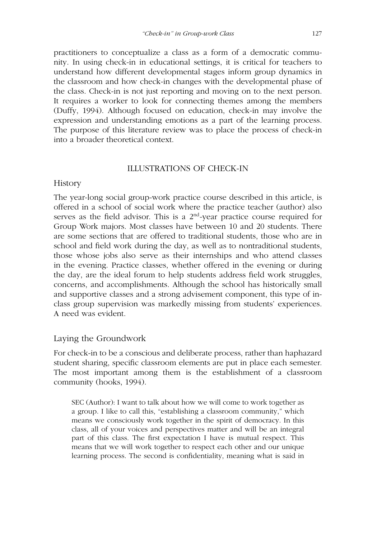practitioners to conceptualize a class as a form of a democratic community. In using check-in in educational settings, it is critical for teachers to understand how different developmental stages inform group dynamics in the classroom and how check-in changes with the developmental phase of the class. Check-in is not just reporting and moving on to the next person. It requires a worker to look for connecting themes among the members (Duffy, 1994). Although focused on education, check-in may involve the expression and understanding emotions as a part of the learning process. The purpose of this literature review was to place the process of check-in into a broader theoretical context.

# ILLUSTRATIONS OF CHECK-IN

# History

The year-long social group-work practice course described in this article, is offered in a school of social work where the practice teacher (author) also serves as the field advisor. This is a  $2<sup>nd</sup>$ -year practice course required for Group Work majors. Most classes have between 10 and 20 students. There are some sections that are offered to traditional students, those who are in school and field work during the day, as well as to nontraditional students, those whose jobs also serve as their internships and who attend classes in the evening. Practice classes, whether offered in the evening or during the day, are the ideal forum to help students address field work struggles, concerns, and accomplishments. Although the school has historically small and supportive classes and a strong advisement component, this type of inclass group supervision was markedly missing from students' experiences. A need was evident.

# Laying the Groundwork

For check-in to be a conscious and deliberate process, rather than haphazard student sharing, specific classroom elements are put in place each semester. The most important among them is the establishment of a classroom community (hooks, 1994).

SEC (Author): I want to talk about how we will come to work together as a group. I like to call this, "establishing a classroom community," which means we consciously work together in the spirit of democracy. In this class, all of your voices and perspectives matter and will be an integral part of this class. The first expectation I have is mutual respect. This means that we will work together to respect each other and our unique learning process. The second is confidentiality, meaning what is said in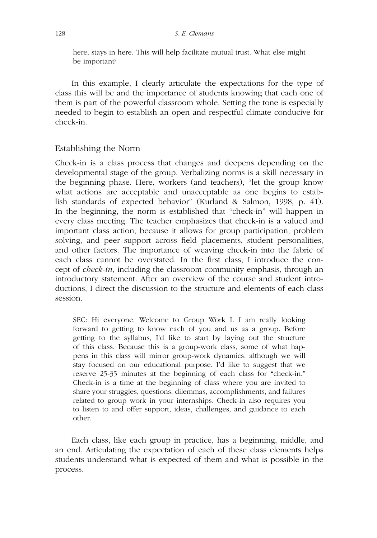here, stays in here. This will help facilitate mutual trust. What else might be important?

In this example, I clearly articulate the expectations for the type of class this will be and the importance of students knowing that each one of them is part of the powerful classroom whole. Setting the tone is especially needed to begin to establish an open and respectful climate conducive for check-in.

# Establishing the Norm

Check-in is a class process that changes and deepens depending on the developmental stage of the group. Verbalizing norms is a skill necessary in the beginning phase. Here, workers (and teachers), "let the group know what actions are acceptable and unacceptable as one begins to establish standards of expected behavior" (Kurland & Salmon, 1998, p. 41). In the beginning, the norm is established that "check-in" will happen in every class meeting. The teacher emphasizes that check-in is a valued and important class action, because it allows for group participation, problem solving, and peer support across field placements, student personalities, and other factors. The importance of weaving check-in into the fabric of each class cannot be overstated. In the first class, I introduce the concept of *check-in*, including the classroom community emphasis, through an introductory statement. After an overview of the course and student introductions, I direct the discussion to the structure and elements of each class session.

SEC: Hi everyone. Welcome to Group Work I. I am really looking forward to getting to know each of you and us as a group. Before getting to the syllabus, I'd like to start by laying out the structure of this class. Because this is a group-work class, some of what happens in this class will mirror group-work dynamics, although we will stay focused on our educational purpose. I'd like to suggest that we reserve 25-35 minutes at the beginning of each class for "check-in." Check-in is a time at the beginning of class where you are invited to share your struggles, questions, dilemmas, accomplishments, and failures related to group work in your internships. Check-in also requires you to listen to and offer support, ideas, challenges, and guidance to each other.

Each class, like each group in practice, has a beginning, middle, and an end. Articulating the expectation of each of these class elements helps students understand what is expected of them and what is possible in the process.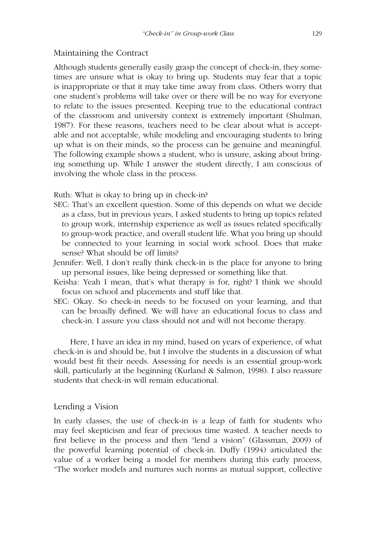# Maintaining the Contract

Although students generally easily grasp the concept of check-in, they sometimes are unsure what is okay to bring up. Students may fear that a topic is inappropriate or that it may take time away from class. Others worry that one student's problems will take over or there will be no way for everyone to relate to the issues presented. Keeping true to the educational contract of the classroom and university context is extremely important (Shulman, 1987). For these reasons, teachers need to be clear about what is acceptable and not acceptable, while modeling and encouraging students to bring up what is on their minds, so the process can be genuine and meaningful. The following example shows a student, who is unsure, asking about bringing something up. While I answer the student directly, I am conscious of involving the whole class in the process.

Ruth: What is okay to bring up in check-in?

- SEC: That's an excellent question. Some of this depends on what we decide as a class, but in previous years, I asked students to bring up topics related to group work, internship experience as well as issues related specifically to group-work practice, and overall student life. What you bring up should be connected to your learning in social work school. Does that make sense? What should be off limits?
- Jennifer: Well, I don't really think check-in is the place for anyone to bring up personal issues, like being depressed or something like that.
- Keisha: Yeah I mean, that's what therapy is for, right? I think we should focus on school and placements and stuff like that.
- SEC: Okay. So check-in needs to be focused on your learning, and that can be broadly defined. We will have an educational focus to class and check-in. I assure you class should not and will not become therapy.

Here, I have an idea in my mind, based on years of experience, of what check-in is and should be, but I involve the students in a discussion of what would best fit their needs. Assessing for needs is an essential group-work skill, particularly at the beginning (Kurland & Salmon, 1998). I also reassure students that check-in will remain educational.

# Lending a Vision

In early classes, the use of check-in is a leap of faith for students who may feel skepticism and fear of precious time wasted. A teacher needs to first believe in the process and then "lend a vision" (Glassman, 2009) of the powerful learning potential of check-in. Duffy (1994) articulated the value of a worker being a model for members during this early process, "The worker models and nurtures such norms as mutual support, collective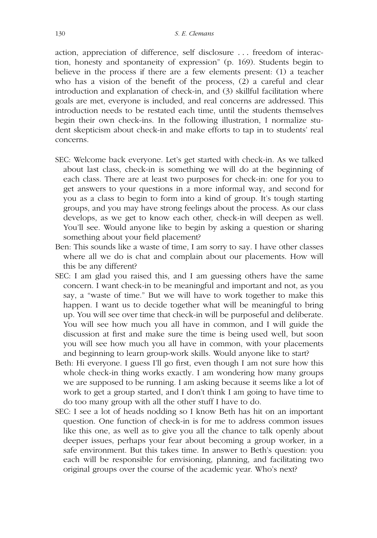action, appreciation of difference, self disclosure *...* freedom of interaction, honesty and spontaneity of expression" (p. 169). Students begin to believe in the process if there are a few elements present: (1) a teacher who has a vision of the benefit of the process, (2) a careful and clear introduction and explanation of check-in, and (3) skillful facilitation where goals are met, everyone is included, and real concerns are addressed. This introduction needs to be restated each time, until the students themselves begin their own check-ins. In the following illustration, I normalize student skepticism about check-in and make efforts to tap in to students' real concerns.

- SEC: Welcome back everyone. Let's get started with check-in. As we talked about last class, check-in is something we will do at the beginning of each class. There are at least two purposes for check-in: one for you to get answers to your questions in a more informal way, and second for you as a class to begin to form into a kind of group. It's tough starting groups, and you may have strong feelings about the process. As our class develops, as we get to know each other, check-in will deepen as well. You'll see. Would anyone like to begin by asking a question or sharing something about your field placement?
- Ben: This sounds like a waste of time, I am sorry to say. I have other classes where all we do is chat and complain about our placements. How will this be any different?
- SEC: I am glad you raised this, and I am guessing others have the same concern. I want check-in to be meaningful and important and not, as you say, a "waste of time." But we will have to work together to make this happen. I want us to decide together what will be meaningful to bring up. You will see over time that check-in will be purposeful and deliberate. You will see how much you all have in common, and I will guide the discussion at first and make sure the time is being used well, but soon you will see how much you all have in common, with your placements and beginning to learn group-work skills. Would anyone like to start?
- Beth: Hi everyone. I guess I'll go first, even though I am not sure how this whole check-in thing works exactly. I am wondering how many groups we are supposed to be running. I am asking because it seems like a lot of work to get a group started, and I don't think I am going to have time to do too many group with all the other stuff I have to do.
- SEC: I see a lot of heads nodding so I know Beth has hit on an important question. One function of check-in is for me to address common issues like this one, as well as to give you all the chance to talk openly about deeper issues, perhaps your fear about becoming a group worker, in a safe environment. But this takes time. In answer to Beth's question: you each will be responsible for envisioning, planning, and facilitating two original groups over the course of the academic year. Who's next?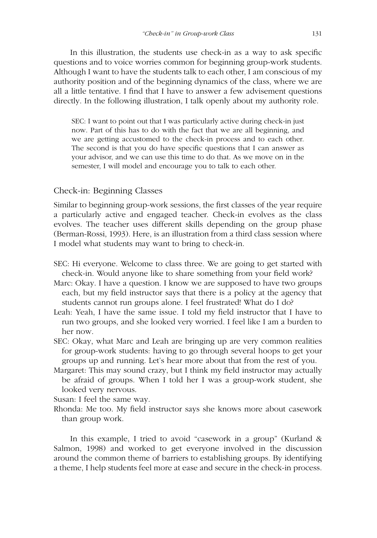In this illustration, the students use check-in as a way to ask specific questions and to voice worries common for beginning group-work students. Although I want to have the students talk to each other, I am conscious of my authority position and of the beginning dynamics of the class, where we are all a little tentative. I find that I have to answer a few advisement questions directly. In the following illustration, I talk openly about my authority role.

SEC: I want to point out that I was particularly active during check-in just now. Part of this has to do with the fact that we are all beginning, and we are getting accustomed to the check-in process and to each other. The second is that you do have specific questions that I can answer as your advisor, and we can use this time to do that. As we move on in the semester, I will model and encourage you to talk to each other.

# Check-in: Beginning Classes

Similar to beginning group-work sessions, the first classes of the year require a particularly active and engaged teacher. Check-in evolves as the class evolves. The teacher uses different skills depending on the group phase (Berman-Rossi, 1993). Here, is an illustration from a third class session where I model what students may want to bring to check-in.

- SEC: Hi everyone. Welcome to class three. We are going to get started with check-in. Would anyone like to share something from your field work?
- Marc: Okay. I have a question. I know we are supposed to have two groups each, but my field instructor says that there is a policy at the agency that students cannot run groups alone. I feel frustrated! What do I do?
- Leah: Yeah, I have the same issue. I told my field instructor that I have to run two groups, and she looked very worried. I feel like I am a burden to her now.
- SEC: Okay, what Marc and Leah are bringing up are very common realities for group-work students: having to go through several hoops to get your groups up and running. Let's hear more about that from the rest of you.
- Margaret: This may sound crazy, but I think my field instructor may actually be afraid of groups. When I told her I was a group-work student, she looked very nervous.

Susan: I feel the same way.

Rhonda: Me too. My field instructor says she knows more about casework than group work.

In this example, I tried to avoid "casework in a group" (Kurland & Salmon, 1998) and worked to get everyone involved in the discussion around the common theme of barriers to establishing groups. By identifying a theme, I help students feel more at ease and secure in the check-in process.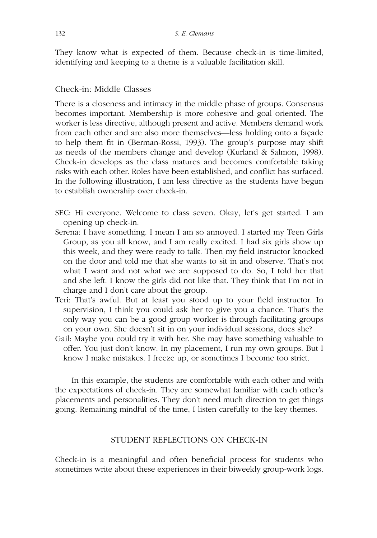They know what is expected of them. Because check-in is time-limited, identifying and keeping to a theme is a valuable facilitation skill.

# Check-in: Middle Classes

There is a closeness and intimacy in the middle phase of groups. Consensus becomes important. Membership is more cohesive and goal oriented. The worker is less directive, although present and active. Members demand work from each other and are also more themselves—less holding onto a façade to help them fit in (Berman-Rossi, 1993). The group's purpose may shift as needs of the members change and develop (Kurland & Salmon, 1998). Check-in develops as the class matures and becomes comfortable taking risks with each other. Roles have been established, and conflict has surfaced. In the following illustration, I am less directive as the students have begun to establish ownership over check-in.

- SEC: Hi everyone. Welcome to class seven. Okay, let's get started. I am opening up check-in.
- Serena: I have something. I mean I am so annoyed. I started my Teen Girls Group, as you all know, and I am really excited. I had six girls show up this week, and they were ready to talk. Then my field instructor knocked on the door and told me that she wants to sit in and observe. That's not what I want and not what we are supposed to do. So, I told her that and she left. I know the girls did not like that. They think that I'm not in charge and I don't care about the group.
- Teri: That's awful. But at least you stood up to your field instructor. In supervision, I think you could ask her to give you a chance. That's the only way you can be a good group worker is through facilitating groups on your own. She doesn't sit in on your individual sessions, does she?
- Gail: Maybe you could try it with her. She may have something valuable to offer. You just don't know. In my placement, I run my own groups. But I know I make mistakes. I freeze up, or sometimes I become too strict.

In this example, the students are comfortable with each other and with the expectations of check-in. They are somewhat familiar with each other's placements and personalities. They don't need much direction to get things going. Remaining mindful of the time, I listen carefully to the key themes.

# STUDENT REFLECTIONS ON CHECK-IN

Check-in is a meaningful and often beneficial process for students who sometimes write about these experiences in their biweekly group-work logs.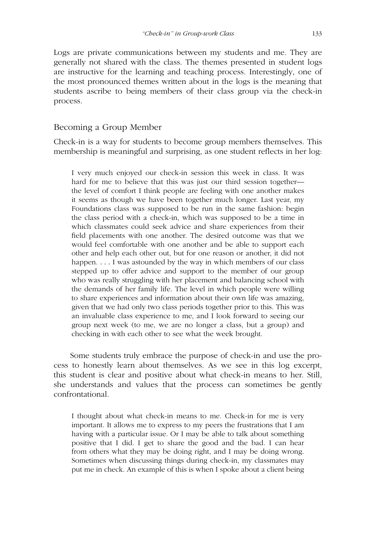Logs are private communications between my students and me. They are generally not shared with the class. The themes presented in student logs are instructive for the learning and teaching process. Interestingly, one of the most pronounced themes written about in the logs is the meaning that students ascribe to being members of their class group via the check-in process.

# Becoming a Group Member

Check-in is a way for students to become group members themselves. This membership is meaningful and surprising, as one student reflects in her log:

I very much enjoyed our check-in session this week in class. It was hard for me to believe that this was just our third session together the level of comfort I think people are feeling with one another makes it seems as though we have been together much longer. Last year, my Foundations class was supposed to be run in the same fashion: begin the class period with a check-in, which was supposed to be a time in which classmates could seek advice and share experiences from their field placements with one another. The desired outcome was that we would feel comfortable with one another and be able to support each other and help each other out, but for one reason or another, it did not happen.  $\ldots$  I was astounded by the way in which members of our class stepped up to offer advice and support to the member of our group who was really struggling with her placement and balancing school with the demands of her family life. The level in which people were willing to share experiences and information about their own life was amazing, given that we had only two class periods together prior to this. This was an invaluable class experience to me, and I look forward to seeing our group next week (to me, we are no longer a class, but a group) and checking in with each other to see what the week brought.

Some students truly embrace the purpose of check-in and use the process to honestly learn about themselves. As we see in this log excerpt, this student is clear and positive about what check-in means to her. Still, she understands and values that the process can sometimes be gently confrontational.

I thought about what check-in means to me. Check-in for me is very important. It allows me to express to my peers the frustrations that I am having with a particular issue. Or I may be able to talk about something positive that I did. I get to share the good and the bad. I can hear from others what they may be doing right, and I may be doing wrong. Sometimes when discussing things during check-in, my classmates may put me in check. An example of this is when I spoke about a client being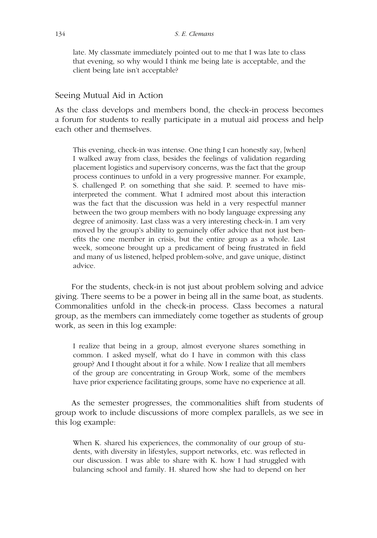late. My classmate immediately pointed out to me that I was late to class that evening, so why would I think me being late is acceptable, and the client being late isn't acceptable?

# Seeing Mutual Aid in Action

As the class develops and members bond, the check-in process becomes a forum for students to really participate in a mutual aid process and help each other and themselves.

This evening, check-in was intense. One thing I can honestly say, [when] I walked away from class, besides the feelings of validation regarding placement logistics and supervisory concerns, was the fact that the group process continues to unfold in a very progressive manner. For example, S. challenged P. on something that she said. P. seemed to have misinterpreted the comment. What I admired most about this interaction was the fact that the discussion was held in a very respectful manner between the two group members with no body language expressing any degree of animosity. Last class was a very interesting check-in. I am very moved by the group's ability to genuinely offer advice that not just benefits the one member in crisis, but the entire group as a whole. Last week, someone brought up a predicament of being frustrated in field and many of us listened, helped problem-solve, and gave unique, distinct advice.

For the students, check-in is not just about problem solving and advice giving. There seems to be a power in being all in the same boat, as students. Commonalities unfold in the check-in process. Class becomes a natural group, as the members can immediately come together as students of group work, as seen in this log example:

I realize that being in a group, almost everyone shares something in common. I asked myself, what do I have in common with this class group? And I thought about it for a while. Now I realize that all members of the group are concentrating in Group Work, some of the members have prior experience facilitating groups, some have no experience at all.

As the semester progresses, the commonalities shift from students of group work to include discussions of more complex parallels, as we see in this log example:

When K. shared his experiences, the commonality of our group of students, with diversity in lifestyles, support networks, etc. was reflected in our discussion. I was able to share with K. how I had struggled with balancing school and family. H. shared how she had to depend on her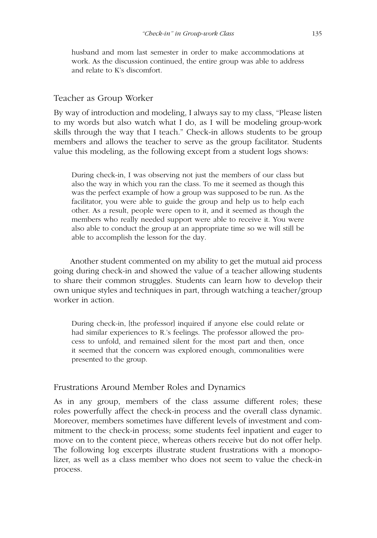husband and mom last semester in order to make accommodations at work. As the discussion continued, the entire group was able to address and relate to K's discomfort.

# Teacher as Group Worker

By way of introduction and modeling, I always say to my class, "Please listen to my words but also watch what I do, as I will be modeling group-work skills through the way that I teach." Check-in allows students to be group members and allows the teacher to serve as the group facilitator. Students value this modeling, as the following except from a student logs shows:

During check-in, I was observing not just the members of our class but also the way in which you ran the class. To me it seemed as though this was the perfect example of how a group was supposed to be run. As the facilitator, you were able to guide the group and help us to help each other. As a result, people were open to it, and it seemed as though the members who really needed support were able to receive it. You were also able to conduct the group at an appropriate time so we will still be able to accomplish the lesson for the day.

Another student commented on my ability to get the mutual aid process going during check-in and showed the value of a teacher allowing students to share their common struggles. Students can learn how to develop their own unique styles and techniques in part, through watching a teacher*/*group worker in action.

During check-in, [the professor] inquired if anyone else could relate or had similar experiences to R.'s feelings. The professor allowed the process to unfold, and remained silent for the most part and then, once it seemed that the concern was explored enough, commonalities were presented to the group.

# Frustrations Around Member Roles and Dynamics

As in any group, members of the class assume different roles; these roles powerfully affect the check-in process and the overall class dynamic. Moreover, members sometimes have different levels of investment and commitment to the check-in process; some students feel inpatient and eager to move on to the content piece, whereas others receive but do not offer help. The following log excerpts illustrate student frustrations with a monopolizer, as well as a class member who does not seem to value the check-in process.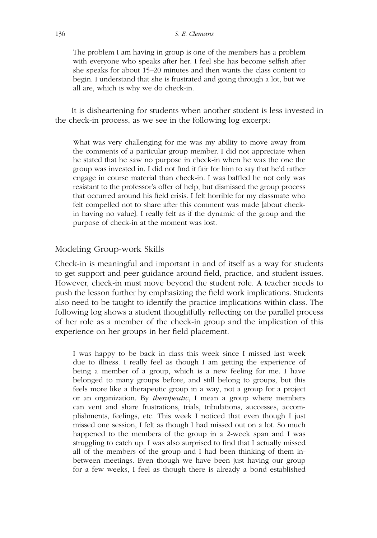The problem I am having in group is one of the members has a problem with everyone who speaks after her. I feel she has become selfish after she speaks for about 15–20 minutes and then wants the class content to begin. I understand that she is frustrated and going through a lot, but we all are, which is why we do check-in.

It is disheartening for students when another student is less invested in the check-in process, as we see in the following log excerpt:

What was very challenging for me was my ability to move away from the comments of a particular group member. I did not appreciate when he stated that he saw no purpose in check-in when he was the one the group was invested in. I did not find it fair for him to say that he'd rather engage in course material than check-in. I was baffled he not only was resistant to the professor's offer of help, but dismissed the group process that occurred around his field crisis. I felt horrible for my classmate who felt compelled not to share after this comment was made [about checkin having no value]. I really felt as if the dynamic of the group and the purpose of check-in at the moment was lost.

# Modeling Group-work Skills

Check-in is meaningful and important in and of itself as a way for students to get support and peer guidance around field, practice, and student issues. However, check-in must move beyond the student role. A teacher needs to push the lesson further by emphasizing the field work implications. Students also need to be taught to identify the practice implications within class. The following log shows a student thoughtfully reflecting on the parallel process of her role as a member of the check-in group and the implication of this experience on her groups in her field placement.

I was happy to be back in class this week since I missed last week due to illness. I really feel as though I am getting the experience of being a member of a group, which is a new feeling for me. I have belonged to many groups before, and still belong to groups, but this feels more like a therapeutic group in a way, not a group for a project or an organization. By *therapeutic*, I mean a group where members can vent and share frustrations, trials, tribulations, successes, accomplishments, feelings, etc. This week I noticed that even though I just missed one session, I felt as though I had missed out on a lot. So much happened to the members of the group in a 2-week span and I was struggling to catch up. I was also surprised to find that I actually missed all of the members of the group and I had been thinking of them inbetween meetings. Even though we have been just having our group for a few weeks, I feel as though there is already a bond established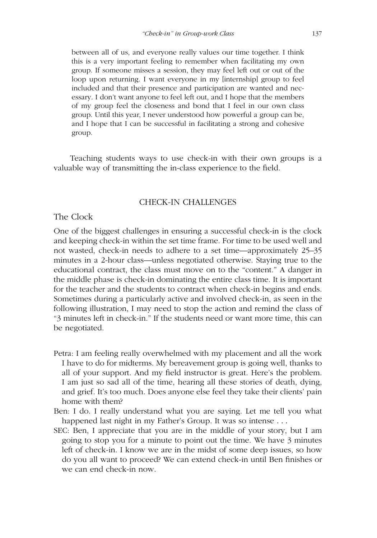between all of us, and everyone really values our time together. I think this is a very important feeling to remember when facilitating my own group. If someone misses a session, they may feel left out or out of the loop upon returning. I want everyone in my [internship] group to feel included and that their presence and participation are wanted and necessary. I don't want anyone to feel left out, and I hope that the members of my group feel the closeness and bond that I feel in our own class group. Until this year, I never understood how powerful a group can be, and I hope that I can be successful in facilitating a strong and cohesive group.

Teaching students ways to use check-in with their own groups is a valuable way of transmitting the in-class experience to the field.

## CHECK-IN CHALLENGES

# The Clock

One of the biggest challenges in ensuring a successful check-in is the clock and keeping check-in within the set time frame. For time to be used well and not wasted, check-in needs to adhere to a set time—approximately 25–35 minutes in a 2-hour class—unless negotiated otherwise. Staying true to the educational contract, the class must move on to the "content." A danger in the middle phase is check-in dominating the entire class time. It is important for the teacher and the students to contract when check-in begins and ends. Sometimes during a particularly active and involved check-in, as seen in the following illustration, I may need to stop the action and remind the class of "3 minutes left in check-in." If the students need or want more time, this can be negotiated.

- Petra: I am feeling really overwhelmed with my placement and all the work I have to do for midterms. My bereavement group is going well, thanks to all of your support. And my field instructor is great. Here's the problem. I am just so sad all of the time, hearing all these stories of death, dying, and grief. It's too much. Does anyone else feel they take their clients' pain home with them?
- Ben: I do. I really understand what you are saying. Let me tell you what happened last night in my Father's Group. It was so intense *...*
- SEC: Ben, I appreciate that you are in the middle of your story, but I am going to stop you for a minute to point out the time. We have 3 minutes left of check-in. I know we are in the midst of some deep issues, so how do you all want to proceed? We can extend check-in until Ben finishes or we can end check-in now.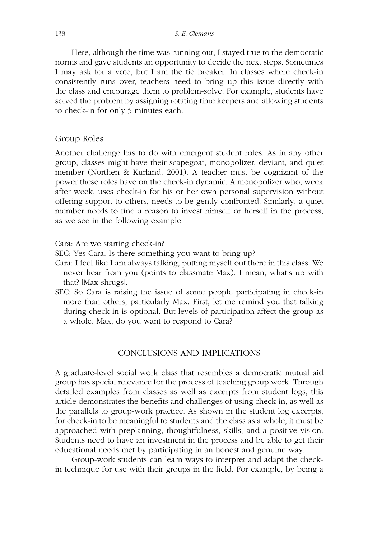Here, although the time was running out, I stayed true to the democratic norms and gave students an opportunity to decide the next steps. Sometimes I may ask for a vote, but I am the tie breaker. In classes where check-in consistently runs over, teachers need to bring up this issue directly with the class and encourage them to problem-solve. For example, students have solved the problem by assigning rotating time keepers and allowing students to check-in for only 5 minutes each.

# Group Roles

Another challenge has to do with emergent student roles. As in any other group, classes might have their scapegoat, monopolizer, deviant, and quiet member (Northen & Kurland, 2001). A teacher must be cognizant of the power these roles have on the check-in dynamic. A monopolizer who, week after week, uses check-in for his or her own personal supervision without offering support to others, needs to be gently confronted. Similarly, a quiet member needs to find a reason to invest himself or herself in the process, as we see in the following example:

Cara: Are we starting check-in?

- SEC: Yes Cara. Is there something you want to bring up?
- Cara: I feel like I am always talking, putting myself out there in this class. We never hear from you (points to classmate Max). I mean, what's up with that? [Max shrugs].
- SEC: So Cara is raising the issue of some people participating in check-in more than others, particularly Max. First, let me remind you that talking during check-in is optional. But levels of participation affect the group as a whole. Max, do you want to respond to Cara?

#### CONCLUSIONS AND IMPLICATIONS

A graduate-level social work class that resembles a democratic mutual aid group has special relevance for the process of teaching group work. Through detailed examples from classes as well as excerpts from student logs, this article demonstrates the benefits and challenges of using check-in, as well as the parallels to group-work practice. As shown in the student log excerpts, for check-in to be meaningful to students and the class as a whole, it must be approached with preplanning, thoughtfulness, skills, and a positive vision. Students need to have an investment in the process and be able to get their educational needs met by participating in an honest and genuine way.

Group-work students can learn ways to interpret and adapt the checkin technique for use with their groups in the field. For example, by being a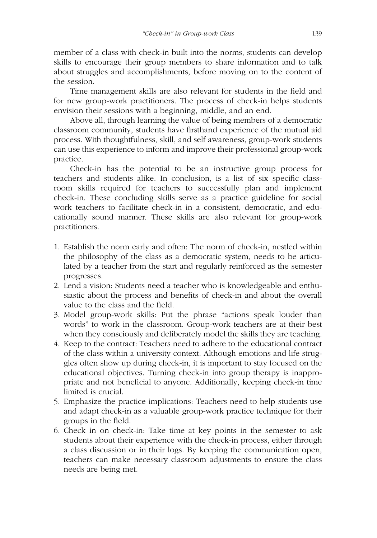member of a class with check-in built into the norms, students can develop skills to encourage their group members to share information and to talk about struggles and accomplishments, before moving on to the content of the session.

Time management skills are also relevant for students in the field and for new group-work practitioners. The process of check-in helps students envision their sessions with a beginning, middle, and an end.

Above all, through learning the value of being members of a democratic classroom community, students have firsthand experience of the mutual aid process. With thoughtfulness, skill, and self awareness, group-work students can use this experience to inform and improve their professional group-work practice.

Check-in has the potential to be an instructive group process for teachers and students alike. In conclusion, is a list of six specific classroom skills required for teachers to successfully plan and implement check-in. These concluding skills serve as a practice guideline for social work teachers to facilitate check-in in a consistent, democratic, and educationally sound manner. These skills are also relevant for group-work practitioners.

- 1. Establish the norm early and often: The norm of check-in, nestled within the philosophy of the class as a democratic system, needs to be articulated by a teacher from the start and regularly reinforced as the semester progresses.
- 2. Lend a vision: Students need a teacher who is knowledgeable and enthusiastic about the process and benefits of check-in and about the overall value to the class and the field.
- 3. Model group-work skills: Put the phrase "actions speak louder than words" to work in the classroom. Group-work teachers are at their best when they consciously and deliberately model the skills they are teaching.
- 4. Keep to the contract: Teachers need to adhere to the educational contract of the class within a university context. Although emotions and life struggles often show up during check-in, it is important to stay focused on the educational objectives. Turning check-in into group therapy is inappropriate and not beneficial to anyone. Additionally, keeping check-in time limited is crucial.
- 5. Emphasize the practice implications: Teachers need to help students use and adapt check-in as a valuable group-work practice technique for their groups in the field.
- 6. Check in on check-in: Take time at key points in the semester to ask students about their experience with the check-in process, either through a class discussion or in their logs. By keeping the communication open, teachers can make necessary classroom adjustments to ensure the class needs are being met.